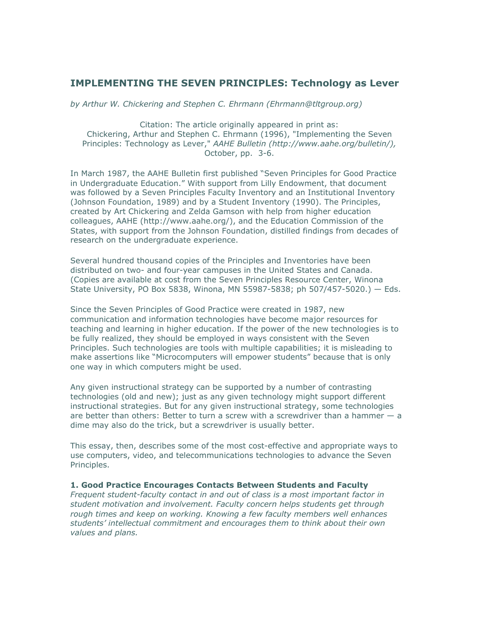# **IMPLEMENTING THE SEVEN PRINCIPLES: Technology as Lever**

*by Arthur W. Chickering and Stephen C. Ehrmann (Ehrmann@tltgroup.org)*

Citation: The article originally appeared in print as: Chickering, Arthur and Stephen C. Ehrmann (1996), "Implementing the Seven Principles: Technology as Lever," *AAHE Bulletin (http://www.aahe.org/bulletin/),* October, pp. 3-6.

In March 1987, the AAHE Bulletin first published "Seven Principles for Good Practice in Undergraduate Education." With support from Lilly Endowment, that document was followed by a Seven Principles Faculty Inventory and an Institutional Inventory (Johnson Foundation, 1989) and by a Student Inventory (1990). The Principles, created by Art Chickering and Zelda Gamson with help from higher education colleagues, AAHE (http://www.aahe.org/), and the Education Commission of the States, with support from the Johnson Foundation, distilled findings from decades of research on the undergraduate experience.

Several hundred thousand copies of the Principles and Inventories have been distributed on two- and four-year campuses in the United States and Canada. (Copies are available at cost from the Seven Principles Resource Center, Winona State University, PO Box 5838, Winona, MN 55987-5838; ph 507/457-5020.) — Eds.

Since the Seven Principles of Good Practice were created in 1987, new communication and information technologies have become major resources for teaching and learning in higher education. If the power of the new technologies is to be fully realized, they should be employed in ways consistent with the Seven Principles. Such technologies are tools with multiple capabilities; it is misleading to make assertions like "Microcomputers will empower students" because that is only one way in which computers might be used.

Any given instructional strategy can be supported by a number of contrasting technologies (old and new); just as any given technology might support different instructional strategies. But for any given instructional strategy, some technologies are better than others: Better to turn a screw with a screwdriver than a hammer  $-$  a dime may also do the trick, but a screwdriver is usually better.

This essay, then, describes some of the most cost-effective and appropriate ways to use computers, video, and telecommunications technologies to advance the Seven Principles.

#### **1. Good Practice Encourages Contacts Between Students and Faculty**

*Frequent student-faculty contact in and out of class is a most important factor in student motivation and involvement. Faculty concern helps students get through rough times and keep on working. Knowing a few faculty members well enhances students' intellectual commitment and encourages them to think about their own values and plans.*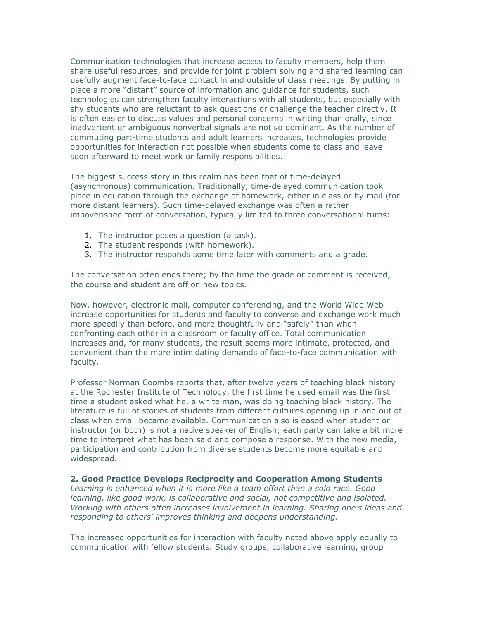Communication technologies that increase access to faculty members, help them share useful resources, and provide for joint problem solving and shared learning can usefully augment face-to-face contact in and outside of class meetings. By putting in place a more "distant" source of information and guidance for students, such technologies can strengthen faculty interactions with all students, but especially with shy students who are reluctant to ask questions or challenge the teacher directly. It is often easier to discuss values and personal concerns in writing than orally, since inadvertent or ambiguous nonverbal signals are not so dominant. As the number of commuting part-time students and adult learners increases, technologies provide opportunities for interaction not possible when students come to class and leave soon afterward to meet work or family responsibilities.

The biggest success story in this realm has been that of time-delayed (asynchronous) communication. Traditionally, time-delayed communication took place in education through the exchange of homework, either in class or by mail (for more distant learners). Such time-delayed exchange was often a rather impoverished form of conversation, typically limited to three conversational turns:

- 1. The instructor poses a question (a task).
- 2. The student responds (with homework).
- 3. The instructor responds some time later with comments and a grade.

The conversation often ends there; by the time the grade or comment is received, the course and student are off on new topics.

Now, however, electronic mail, computer conferencing, and the World Wide Web increase opportunities for students and faculty to converse and exchange work much more speedily than before, and more thoughtfully and "safely" than when confronting each other in a classroom or faculty office. Total communication increases and, for many students, the result seems more intimate, protected, and convenient than the more intimidating demands of face-to-face communication with faculty.

Professor Norman Coombs reports that, after twelve years of teaching black history at the Rochester Institute of Technology, the first time he used email was the first time a student asked what he, a white man, was doing teaching black history. The literature is full of stories of students from different cultures opening up in and out of class when email became available. Communication also is eased when student or instructor (or both) is not a native speaker of English; each party can take a bit more time to interpret what has been said and compose a response. With the new media, participation and contribution from diverse students become more equitable and widespread.

#### **2. Good Practice Develops Reciprocity and Cooperation Among Students**

*Learning is enhanced when it is more like a team effort than a solo race. Good learning, like good work, is collaborative and social, not competitive and isolated. Working with others often increases involvement in learning. Sharing one's ideas and responding to others' improves thinking and deepens understanding.*

The increased opportunities for interaction with faculty noted above apply equally to communication with fellow students. Study groups, collaborative learning, group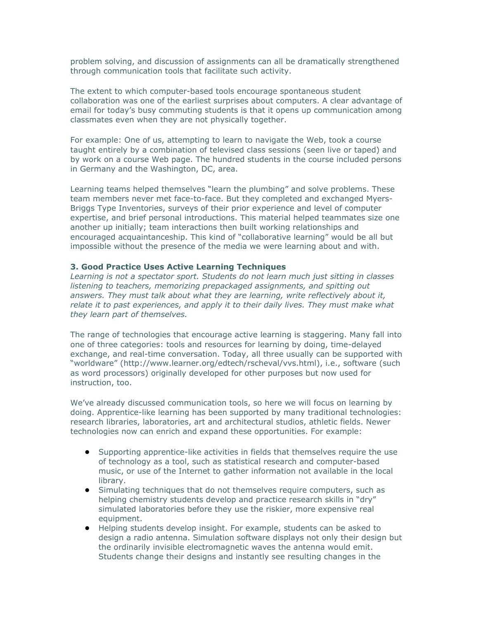problem solving, and discussion of assignments can all be dramatically strengthened through communication tools that facilitate such activity.

The extent to which computer-based tools encourage spontaneous student collaboration was one of the earliest surprises about computers. A clear advantage of email for today's busy commuting students is that it opens up communication among classmates even when they are not physically together.

For example: One of us, attempting to learn to navigate the Web, took a course taught entirely by a combination of televised class sessions (seen live or taped) and by work on a course Web page. The hundred students in the course included persons in Germany and the Washington, DC, area.

Learning teams helped themselves "learn the plumbing" and solve problems. These team members never met face-to-face. But they completed and exchanged Myers-Briggs Type Inventories, surveys of their prior experience and level of computer expertise, and brief personal introductions. This material helped teammates size one another up initially; team interactions then built working relationships and encouraged acquaintanceship. This kind of "collaborative learning" would be all but impossible without the presence of the media we were learning about and with.

## **3. Good Practice Uses Active Learning Techniques**

*Learning is not a spectator sport. Students do not learn much just sitting in classes listening to teachers, memorizing prepackaged assignments, and spitting out answers. They must talk about what they are learning, write reflectively about it, relate it to past experiences, and apply it to their daily lives. They must make what they learn part of themselves.*

The range of technologies that encourage active learning is staggering. Many fall into one of three categories: tools and resources for learning by doing, time-delayed exchange, and real-time conversation. Today, all three usually can be supported with "worldware" (http://www.learner.org/edtech/rscheval/vvs.html), i.e., software (such as word processors) originally developed for other purposes but now used for instruction, too.

We've already discussed communication tools, so here we will focus on learning by doing. Apprentice-like learning has been supported by many traditional technologies: research libraries, laboratories, art and architectural studios, athletic fields. Newer technologies now can enrich and expand these opportunities. For example:

- **•** Supporting apprentice-like activities in fields that themselves require the use of technology as a tool, such as statistical research and computer-based music, or use of the Internet to gather information not available in the local library.
- **•** Simulating techniques that do not themselves require computers, such as helping chemistry students develop and practice research skills in "dry" simulated laboratories before they use the riskier, more expensive real equipment.
- **•** Helping students develop insight. For example, students can be asked to design a radio antenna. Simulation software displays not only their design but the ordinarily invisible electromagnetic waves the antenna would emit. Students change their designs and instantly see resulting changes in the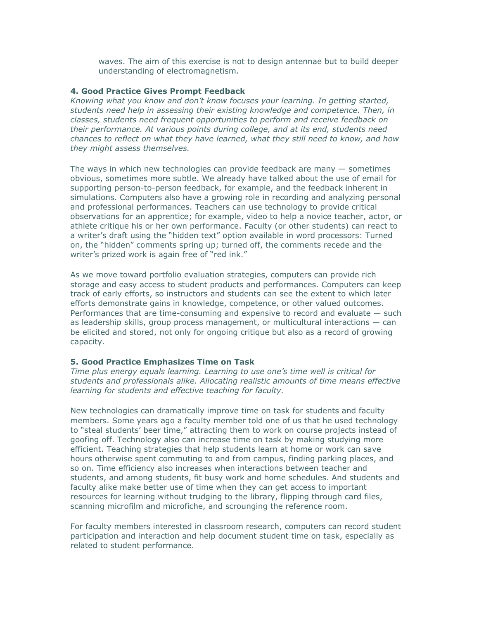waves. The aim of this exercise is not to design antennae but to build deeper understanding of electromagnetism.

#### **4. Good Practice Gives Prompt Feedback**

*Knowing what you know and don't know focuses your learning. In getting started, students need help in assessing their existing knowledge and competence. Then, in classes, students need frequent opportunities to perform and receive feedback on their performance. At various points during college, and at its end, students need chances to reflect on what they have learned, what they still need to know, and how they might assess themselves.*

The ways in which new technologies can provide feedback are many  $-$  sometimes obvious, sometimes more subtle. We already have talked about the use of email for supporting person-to-person feedback, for example, and the feedback inherent in simulations. Computers also have a growing role in recording and analyzing personal and professional performances. Teachers can use technology to provide critical observations for an apprentice; for example, video to help a novice teacher, actor, or athlete critique his or her own performance. Faculty (or other students) can react to a writer's draft using the "hidden text" option available in word processors: Turned on, the "hidden" comments spring up; turned off, the comments recede and the writer's prized work is again free of "red ink."

As we move toward portfolio evaluation strategies, computers can provide rich storage and easy access to student products and performances. Computers can keep track of early efforts, so instructors and students can see the extent to which later efforts demonstrate gains in knowledge, competence, or other valued outcomes. Performances that are time-consuming and expensive to record and evaluate — such as leadership skills, group process management, or multicultural interactions — can be elicited and stored, not only for ongoing critique but also as a record of growing capacity.

#### **5. Good Practice Emphasizes Time on Task**

*Time plus energy equals learning. Learning to use one's time well is critical for students and professionals alike. Allocating realistic amounts of time means effective learning for students and effective teaching for faculty.*

New technologies can dramatically improve time on task for students and faculty members. Some years ago a faculty member told one of us that he used technology to "steal students' beer time," attracting them to work on course projects instead of goofing off. Technology also can increase time on task by making studying more efficient. Teaching strategies that help students learn at home or work can save hours otherwise spent commuting to and from campus, finding parking places, and so on. Time efficiency also increases when interactions between teacher and students, and among students, fit busy work and home schedules. And students and faculty alike make better use of time when they can get access to important resources for learning without trudging to the library, flipping through card files, scanning microfilm and microfiche, and scrounging the reference room.

For faculty members interested in classroom research, computers can record student participation and interaction and help document student time on task, especially as related to student performance.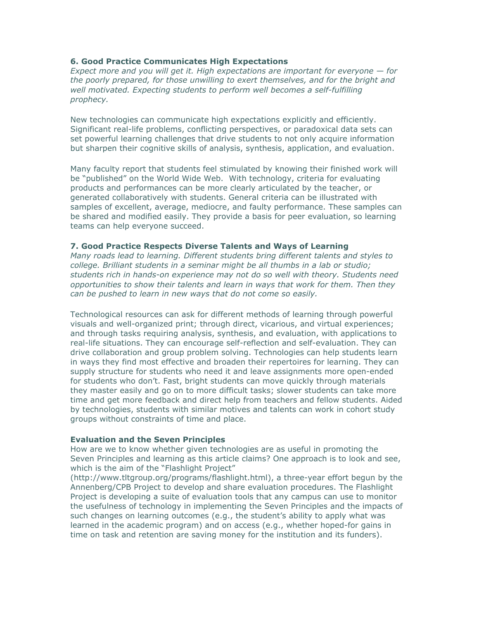#### **6. Good Practice Communicates High Expectations**

*Expect more and you will get it. High expectations are important for everyone — for the poorly prepared, for those unwilling to exert themselves, and for the bright and well motivated. Expecting students to perform well becomes a self-fulfilling prophecy.*

New technologies can communicate high expectations explicitly and efficiently. Significant real-life problems, conflicting perspectives, or paradoxical data sets can set powerful learning challenges that drive students to not only acquire information but sharpen their cognitive skills of analysis, synthesis, application, and evaluation.

Many faculty report that students feel stimulated by knowing their finished work will be "published" on the World Wide Web. With technology, criteria for evaluating products and performances can be more clearly articulated by the teacher, or generated collaboratively with students. General criteria can be illustrated with samples of excellent, average, mediocre, and faulty performance. These samples can be shared and modified easily. They provide a basis for peer evaluation, so learning teams can help everyone succeed.

#### **7. Good Practice Respects Diverse Talents and Ways of Learning**

*Many roads lead to learning. Different students bring different talents and styles to college. Brilliant students in a seminar might be all thumbs in a lab or studio; students rich in hands-on experience may not do so well with theory. Students need opportunities to show their talents and learn in ways that work for them. Then they can be pushed to learn in new ways that do not come so easily.*

Technological resources can ask for different methods of learning through powerful visuals and well-organized print; through direct, vicarious, and virtual experiences; and through tasks requiring analysis, synthesis, and evaluation, with applications to real-life situations. They can encourage self-reflection and self-evaluation. They can drive collaboration and group problem solving. Technologies can help students learn in ways they find most effective and broaden their repertoires for learning. They can supply structure for students who need it and leave assignments more open-ended for students who don't. Fast, bright students can move quickly through materials they master easily and go on to more difficult tasks; slower students can take more time and get more feedback and direct help from teachers and fellow students. Aided by technologies, students with similar motives and talents can work in cohort study groups without constraints of time and place.

#### **Evaluation and the Seven Principles**

How are we to know whether given technologies are as useful in promoting the Seven Principles and learning as this article claims? One approach is to look and see, which is the aim of the "Flashlight Project"

(http://www.tltgroup.org/programs/flashlight.html), a three-year effort begun by the Annenberg/CPB Project to develop and share evaluation procedures. The Flashlight Project is developing a suite of evaluation tools that any campus can use to monitor the usefulness of technology in implementing the Seven Principles and the impacts of such changes on learning outcomes (e.g., the student's ability to apply what was learned in the academic program) and on access (e.g., whether hoped-for gains in time on task and retention are saving money for the institution and its funders).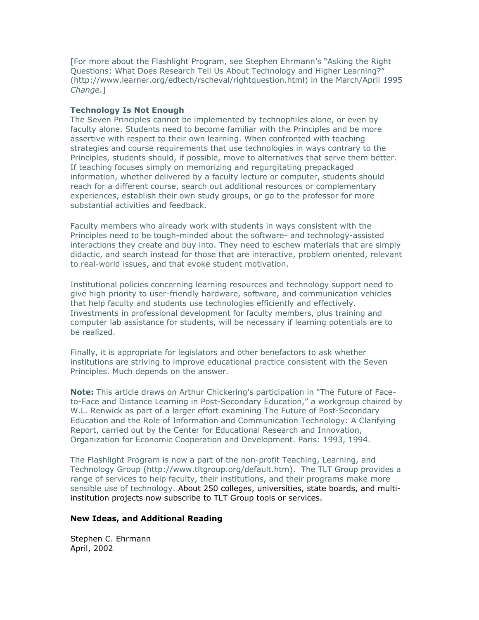[For more about the Flashlight Program, see Stephen Ehrmann's "Asking the Right Questions: What Does Research Tell Us About Technology and Higher Learning?" (http://www.learner.org/edtech/rscheval/rightquestion.html) in the March/April 1995 *Change*.]

## **Technology Is Not Enough**

The Seven Principles cannot be implemented by technophiles alone, or even by faculty alone. Students need to become familiar with the Principles and be more assertive with respect to their own learning. When confronted with teaching strategies and course requirements that use technologies in ways contrary to the Principles, students should, if possible, move to alternatives that serve them better. If teaching focuses simply on memorizing and regurgitating prepackaged information, whether delivered by a faculty lecture or computer, students should reach for a different course, search out additional resources or complementary experiences, establish their own study groups, or go to the professor for more substantial activities and feedback.

Faculty members who already work with students in ways consistent with the Principles need to be tough-minded about the software- and technology-assisted interactions they create and buy into. They need to eschew materials that are simply didactic, and search instead for those that are interactive, problem oriented, relevant to real-world issues, and that evoke student motivation.

Institutional policies concerning learning resources and technology support need to give high priority to user-friendly hardware, software, and communication vehicles that help faculty and students use technologies efficiently and effectively. Investments in professional development for faculty members, plus training and computer lab assistance for students, will be necessary if learning potentials are to be realized.

Finally, it is appropriate for legislators and other benefactors to ask whether institutions are striving to improve educational practice consistent with the Seven Principles. Much depends on the answer.

**Note:** This article draws on Arthur Chickering's participation in "The Future of Faceto-Face and Distance Learning in Post-Secondary Education," a workgroup chaired by W.L. Renwick as part of a larger effort examining The Future of Post-Secondary Education and the Role of Information and Communication Technology: A Clarifying Report, carried out by the Center for Educational Research and Innovation, Organization for Economic Cooperation and Development. Paris: 1993, 1994.

The Flashlight Program is now a part of the non-profit Teaching, Learning, and Technology Group (http://www.tltgroup.org/default.htm). The TLT Group provides a range of services to help faculty, their institutions, and their programs make more sensible use of technology. About 250 colleges, universities, state boards, and multiinstitution projects now subscribe to TLT Group tools or services.

#### **New Ideas, and Additional Reading**

Stephen C. Ehrmann April, 2002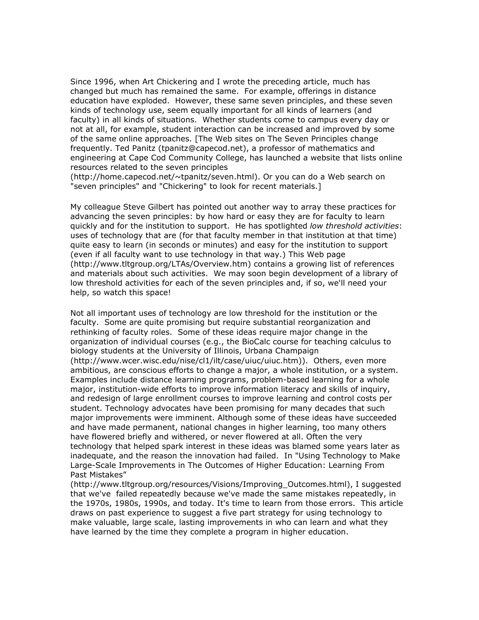Since 1996, when Art Chickering and I wrote the preceding article, much has changed but much has remained the same. For example, offerings in distance education have exploded. However, these same seven principles, and these seven kinds of technology use, seem equally important for all kinds of learners (and faculty) in all kinds of situations. Whether students come to campus every day or not at all, for example, student interaction can be increased and improved by some of the same online approaches. [The Web sites on The Seven Principles change frequently. Ted Panitz (tpanitz@capecod.net), a professor of mathematics and engineering at Cape Cod Community College, has launched a website that lists online resources related to the seven principles

(http://home.capecod.net/~tpanitz/seven.html). Or you can do a Web search on "seven principles" and "Chickering" to look for recent materials.]

My colleague Steve Gilbert has pointed out another way to array these practices for advancing the seven principles: by how hard or easy they are for faculty to learn quickly and for the institution to support. He has spotlighted *low threshold activities*: uses of technology that are (for that faculty member in that institution at that time) quite easy to learn (in seconds or minutes) and easy for the institution to support (even if all faculty want to use technology in that way.) This Web page (http://www.tltgroup.org/LTAs/Overview.htm) contains a growing list of references and materials about such activities. We may soon begin development of a library of low threshold activities for each of the seven principles and, if so, we'll need your help, so watch this space!

Not all important uses of technology are low threshold for the institution or the faculty. Some are quite promising but require substantial reorganization and rethinking of faculty roles. Some of these ideas require major change in the organization of individual courses (e.g., the BioCalc course for teaching calculus to biology students at the University of Illinois, Urbana Champaign (http://www.wcer.wisc.edu/nise/cl1/ilt/case/uiuc/uiuc.htm)). Others, even more ambitious, are conscious efforts to change a major, a whole institution, or a system. Examples include distance learning programs, problem-based learning for a whole major, institution-wide efforts to improve information literacy and skills of inquiry, and redesign of large enrollment courses to improve learning and control costs per student. Technology advocates have been promising for many decades that such major improvements were imminent. Although some of these ideas have succeeded and have made permanent, national changes in higher learning, too many others have flowered briefly and withered, or never flowered at all. Often the very technology that helped spark interest in these ideas was blamed some years later as inadequate, and the reason the innovation had failed. In "Using Technology to Make Large-Scale Improvements in The Outcomes of Higher Education: Learning From Past Mistakes"

(http://www.tltgroup.org/resources/Visions/Improving\_Outcomes.html), I suggested that we've failed repeatedly because we've made the same mistakes repeatedly, in the 1970s, 1980s, 1990s, and today. It's time to learn from those errors. This article draws on past experience to suggest a five part strategy for using technology to make valuable, large scale, lasting improvements in who can learn and what they have learned by the time they complete a program in higher education.